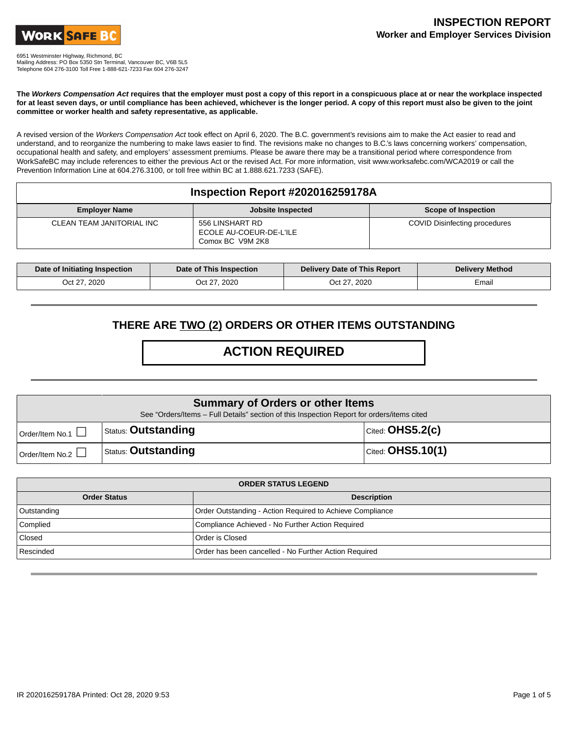

6951 Westminster Highway, Richmond, BC

Mailing Address: PO Box 5350 Stn Terminal, Vancouver BC, V6B 5L5 Telephone 604 276-3100 Toll Free 1-888-621-7233 Fax 604 276-3247

**The Workers Compensation Act requires that the employer must post a copy of this report in a conspicuous place at or near the workplace inspected for at least seven days, or until compliance has been achieved, whichever is the longer period. A copy of this report must also be given to the joint committee or worker health and safety representative, as applicable.**

A revised version of the Workers Compensation Act took effect on April 6, 2020. The B.C. government's revisions aim to make the Act easier to read and understand, and to reorganize the numbering to make laws easier to find. The revisions make no changes to B.C.'s laws concerning workers' compensation, occupational health and safety, and employers' assessment premiums. Please be aware there may be a transitional period where correspondence from WorkSafeBC may include references to either the previous Act or the revised Act. For more information, visit www.worksafebc.com/WCA2019 or call the Prevention Information Line at 604.276.3100, or toll free within BC at 1.888.621.7233 (SAFE).

### **Inspection Report #202016259178A**

| <b>Employer Name</b>      | <b>Jobsite Inspected</b>                                       | Scope of Inspection           |
|---------------------------|----------------------------------------------------------------|-------------------------------|
| CLEAN TEAM JANITORIAL INC | 556 LINSHART RD<br>ECOLE AU-COEUR-DE-L'ILE<br>Comox BC V9M 2K8 | COVID Disinfecting procedures |

| Date of Initiating Inspection | Date of This Inspection | Delivery Date of This Report | <b>Delivery Method</b> |
|-------------------------------|-------------------------|------------------------------|------------------------|
| Oct 27, 2020                  | Oct 27, 2020            | Oct 27, 2020                 | Email                  |

### **THERE ARE TWO (2) ORDERS OR OTHER ITEMS OUTSTANDING**

# **ACTION REQUIRED**

| <b>Summary of Orders or other Items</b><br>See "Orders/Items - Full Details" section of this Inspection Report for orders/items cited |                            |                               |
|---------------------------------------------------------------------------------------------------------------------------------------|----------------------------|-------------------------------|
| Order/Item No.1                                                                                                                       | <b>Status: Outstanding</b> | $ _{\text{Cited:}}$ OHS5.2(c) |
| Order/Item No.2                                                                                                                       | <b>Status: Outstanding</b> | $\vert$ Cited: OHS5.10(1)     |

| <b>ORDER STATUS LEGEND</b> |                                                           |  |
|----------------------------|-----------------------------------------------------------|--|
| <b>Order Status</b>        | <b>Description</b>                                        |  |
| Outstanding                | Order Outstanding - Action Required to Achieve Compliance |  |
| Complied                   | Compliance Achieved - No Further Action Required          |  |
| Closed                     | Order is Closed                                           |  |
| Rescinded                  | Order has been cancelled - No Further Action Required     |  |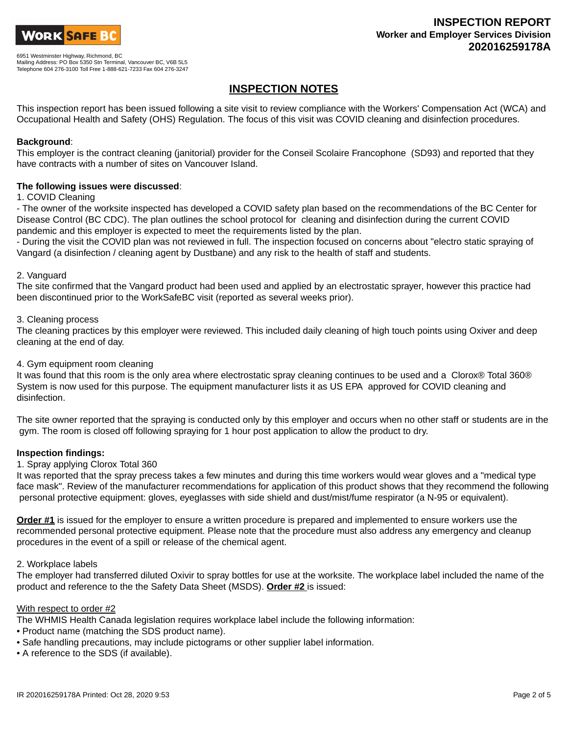

## **INSPECTION NOTES**

This inspection report has been issued following a site visit to review compliance with the Workers' Compensation Act (WCA) and Occupational Health and Safety (OHS) Regulation. The focus of this visit was COVID cleaning and disinfection procedures.

#### **Background**:

This employer is the contract cleaning (janitorial) provider for the Conseil Scolaire Francophone (SD93) and reported that they have contracts with a number of sites on Vancouver Island.

#### **The following issues were discussed**:

#### 1. COVID Cleaning

- The owner of the worksite inspected has developed a COVID safety plan based on the recommendations of the BC Center for Disease Control (BC CDC). The plan outlines the school protocol for cleaning and disinfection during the current COVID pandemic and this employer is expected to meet the requirements listed by the plan.

- During the visit the COVID plan was not reviewed in full. The inspection focused on concerns about "electro static spraying of Vangard (a disinfection / cleaning agent by Dustbane) and any risk to the health of staff and students.

#### 2. Vanguard

The site confirmed that the Vangard product had been used and applied by an electrostatic sprayer, however this practice had been discontinued prior to the WorkSafeBC visit (reported as several weeks prior).

#### 3. Cleaning process

The cleaning practices by this employer were reviewed. This included daily cleaning of high touch points using Oxiver and deep cleaning at the end of day.

#### 4. Gym equipment room cleaning

It was found that this room is the only area where electrostatic spray cleaning continues to be used and a Clorox® Total 360® System is now used for this purpose. The equipment manufacturer lists it as US EPA approved for COVID cleaning and disinfection.

The site owner reported that the spraying is conducted only by this employer and occurs when no other staff or students are in the gym. The room is closed off following spraying for 1 hour post application to allow the product to dry.

#### **Inspection findings:**

#### 1. Spray applying Clorox Total 360

It was reported that the spray precess takes a few minutes and during this time workers would wear gloves and a "medical type face mask". Review of the manufacturer recommendations for application of this product shows that they recommend the following personal protective equipment: gloves, eyeglasses with side shield and dust/mist/fume respirator (a N-95 or equivalent).

**Order #1** is issued for the employer to ensure a written procedure is prepared and implemented to ensure workers use the recommended personal protective equipment. Please note that the procedure must also address any emergency and cleanup procedures in the event of a spill or release of the chemical agent.

#### 2. Workplace labels

The employer had transferred diluted Oxivir to spray bottles for use at the worksite. The workplace label included the name of the product and reference to the the Safety Data Sheet (MSDS). **Order #2** is issued:

#### With respect to order #2

The WHMIS Health Canada legislation requires workplace label include the following information:

- Product name (matching the SDS product name).
- Safe handling precautions, may include pictograms or other supplier label information.
- A reference to the SDS (if available).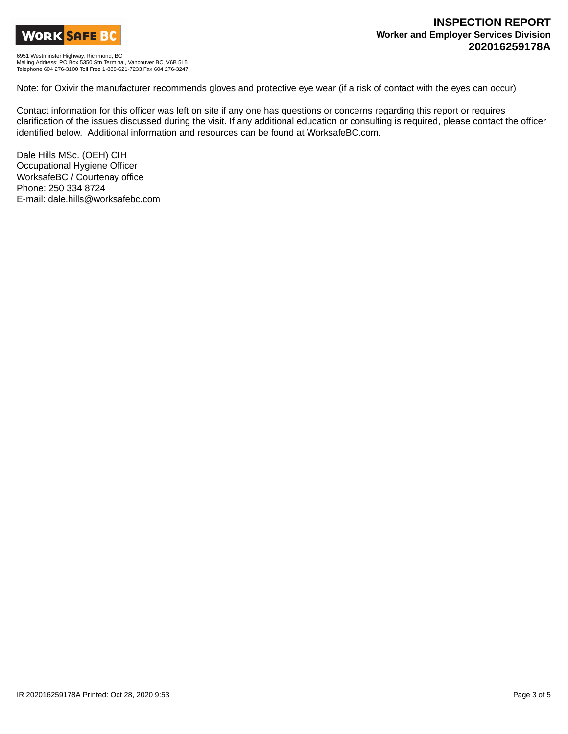

6951 Westminster Highway, Richmond, BC Mailing Address: PO Box 5350 Stn Terminal, Vancouver BC, V6B 5L5 Telephone 604 276-3100 Toll Free 1-888-621-7233 Fax 604 276-3247

Note: for Oxivir the manufacturer recommends gloves and protective eye wear (if a risk of contact with the eyes can occur)

Contact information for this officer was left on site if any one has questions or concerns regarding this report or requires clarification of the issues discussed during the visit. If any additional education or consulting is required, please contact the officer identified below. Additional information and resources can be found at WorksafeBC.com.

Dale Hills MSc. (OEH) CIH Occupational Hygiene Officer WorksafeBC / Courtenay office Phone: 250 334 8724 E-mail: dale.hills@worksafebc.com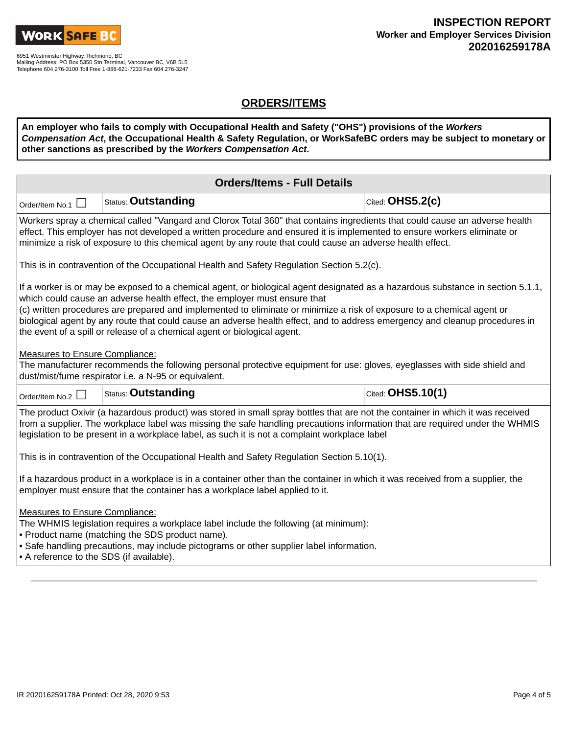

## **ORDERS/ITEMS**

**An employer who fails to comply with Occupational Health and Safety ("OHS") provisions of the Workers Compensation Act, the Occupational Health & Safety Regulation, or WorkSafeBC orders may be subject to monetary or other sanctions as prescribed by the Workers Compensation Act.**

| <b>Orders/Items - Full Details</b>                                                                                                                                                                                                                                                                                                                                                                                                                                                                                                                |                                                                                           |                   |  |  |
|---------------------------------------------------------------------------------------------------------------------------------------------------------------------------------------------------------------------------------------------------------------------------------------------------------------------------------------------------------------------------------------------------------------------------------------------------------------------------------------------------------------------------------------------------|-------------------------------------------------------------------------------------------|-------------------|--|--|
| Order/Item No.1 $\Box$                                                                                                                                                                                                                                                                                                                                                                                                                                                                                                                            | Cited: OHS5.2(c)<br>Status: Outstanding                                                   |                   |  |  |
| Workers spray a chemical called "Vangard and Clorox Total 360" that contains ingredients that could cause an adverse health<br>effect. This employer has not developed a written procedure and ensured it is implemented to ensure workers eliminate or<br>minimize a risk of exposure to this chemical agent by any route that could cause an adverse health effect.                                                                                                                                                                             |                                                                                           |                   |  |  |
|                                                                                                                                                                                                                                                                                                                                                                                                                                                                                                                                                   | This is in contravention of the Occupational Health and Safety Regulation Section 5.2(c). |                   |  |  |
| If a worker is or may be exposed to a chemical agent, or biological agent designated as a hazardous substance in section 5.1.1,<br>which could cause an adverse health effect, the employer must ensure that<br>(c) written procedures are prepared and implemented to eliminate or minimize a risk of exposure to a chemical agent or<br>biological agent by any route that could cause an adverse health effect, and to address emergency and cleanup procedures in<br>the event of a spill or release of a chemical agent or biological agent. |                                                                                           |                   |  |  |
| Measures to Ensure Compliance:<br>The manufacturer recommends the following personal protective equipment for use: gloves, eyeglasses with side shield and<br>dust/mist/fume respirator i.e. a N-95 or equivalent.                                                                                                                                                                                                                                                                                                                                |                                                                                           |                   |  |  |
| Order/Item No.2                                                                                                                                                                                                                                                                                                                                                                                                                                                                                                                                   | <b>Status: Outstanding</b>                                                                | Cited: OHS5.10(1) |  |  |
| The product Oxivir (a hazardous product) was stored in small spray bottles that are not the container in which it was received<br>from a supplier. The workplace label was missing the safe handling precautions information that are required under the WHMIS<br>legislation to be present in a workplace label, as such it is not a complaint workplace label                                                                                                                                                                                   |                                                                                           |                   |  |  |
| This is in contravention of the Occupational Health and Safety Regulation Section 5.10(1).                                                                                                                                                                                                                                                                                                                                                                                                                                                        |                                                                                           |                   |  |  |
| If a hazardous product in a workplace is in a container other than the container in which it was received from a supplier, the<br>employer must ensure that the container has a workplace label applied to it.                                                                                                                                                                                                                                                                                                                                    |                                                                                           |                   |  |  |
| <b>Measures to Ensure Compliance:</b><br>The WHMIS legislation requires a workplace label include the following (at minimum):<br>• Product name (matching the SDS product name).<br>• Safe handling precautions, may include pictograms or other supplier label information.<br>• A reference to the SDS (if available).                                                                                                                                                                                                                          |                                                                                           |                   |  |  |